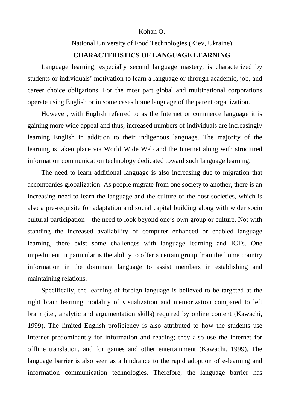## Kohan O.

## National University of Food Technologies (Kiev, Ukraine) **CHARACTERISTICS OF LANGUAGE LEARNING**

Language learning, especially second language mastery, is characterized by students or individuals' motivation to learn a language or through academic, job, and career choice obligations. For the most part global and multinational corporations operate using English or in some cases home language of the parent organization.

However, with English referred to as the Internet or commerce language it is gaining more wide appeal and thus, increased numbers of individuals are increasingly learning English in addition to their indigenous language. The majority of the learning is taken place via World Wide Web and the Internet along with structured information communication technology dedicated toward such language learning.

The need to learn additional language is also increasing due to migration that accompanies globalization. As people migrate from one society to another, there is an increasing need to learn the language and the culture of the host societies, which is also a pre-requisite for adaptation and social capital building along with wider socio cultural participation – the need to look beyond one's own group or culture. Not with standing the increased availability of computer enhanced or enabled language learning, there exist some challenges with language learning and ICTs. One impediment in particular is the ability to offer a certain group from the home country information in the dominant language to assist members in establishing and maintaining relations.

Specifically, the learning of foreign language is believed to be targeted at the right brain learning modality of visualization and memorization compared to left brain (i.e., analytic and argumentation skills) required by online content (Kawachi, 1999). The limited English proficiency is also attributed to how the students use Internet predominantly for information and reading; they also use the Internet for offline translation, and for games and other entertainment (Kawachi, 1999). The language barrier is also seen as a hindrance to the rapid adoption of e-learning and information communication technologies. Therefore, the language barrier has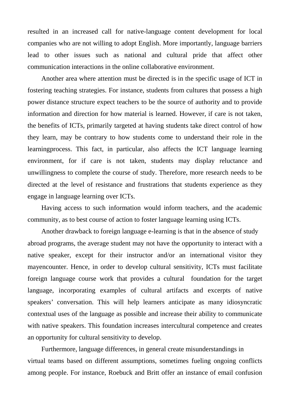resulted in an increased call for native-language content development for local companies who are not willing to adopt English. More importantly, language barriers lead to other issues such as national and cultural pride that affect other communication interactions in the online collaborative environment.

Another area where attention must be directed is in the specific usage of ICT in fostering teaching strategies. For instance, students from cultures that possess a high power distance structure expect teachers to be the source of authority and to provide information and direction for how material is learned. However, if care is not taken, the benefits of ICTs, primarily targeted at having students take direct control of how they learn, may be contrary to how students come to understand their role in the learningprocess. This fact, in particular, also affects the ICT language learning environment, for if care is not taken, students may display reluctance and unwillingness to complete the course of study. Therefore, more research needs to be directed at the level of resistance and frustrations that students experience as they engage in language learning over ICTs.

Having access to such information would inform teachers, and the academic community, as to best course of action to foster language learning using ICTs.

Another drawback to foreign language e-learning is that in the absence of study abroad programs, the average student may not have the opportunity to interact with a native speaker, except for their instructor and/or an international visitor they mayencounter. Hence, in order to develop cultural sensitivity, ICTs must facilitate foreign language course work that provides a cultural foundation for the target language, incorporating examples of cultural artifacts and excerpts of native speakers' conversation. This will help learners anticipate as many idiosyncratic contextual uses of the language as possible and increase their ability to communicate with native speakers. This foundation increases intercultural competence and creates an opportunity for cultural sensitivity to develop.

Furthermore, language differences, in general create misunderstandings in virtual teams based on different assumptions, sometimes fueling ongoing conflicts among people. For instance, Roebuck and Britt offer an instance of email confusion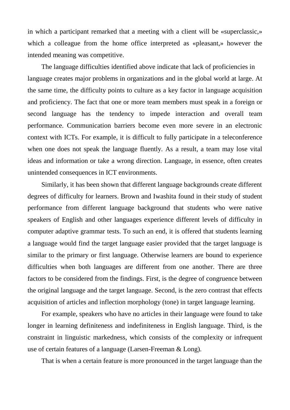in which a participant remarked that a meeting with a client will be «superclassic,» which a colleague from the home office interpreted as «pleasant,» however the intended meaning was competitive.

The language difficulties identified above indicate that lack of proficiencies in language creates major problems in organizations and in the global world at large. At the same time, the difficulty points to culture as a key factor in language acquisition and proficiency. The fact that one or more team members must speak in a foreign or second language has the tendency to impede interaction and overall team performance. Communication barriers become even more severe in an electronic context with ICTs. For example, it is difficult to fully participate in a teleconference when one does not speak the language fluently. As a result, a team may lose vital ideas and information or take a wrong direction. Language, in essence, often creates unintended consequences in ICT environments.

Similarly, it has been shown that different language backgrounds create different degrees of difficulty for learners. Brown and Iwashita found in their study of student performance from different language background that students who were native speakers of English and other languages experience different levels of difficulty in computer adaptive grammar tests. To such an end, it is offered that students learning a language would find the target language easier provided that the target language is similar to the primary or first language. Otherwise learners are bound to experience difficulties when both languages are different from one another. There are three factors to be considered from the findings. First, is the degree of congruence between the original language and the target language. Second, is the zero contrast that effects acquisition of articles and inflection morphology (tone) in target language learning.

For example, speakers who have no articles in their language were found to take longer in learning definiteness and indefiniteness in English language. Third, is the constraint in linguistic markedness, which consists of the complexity or infrequent use of certain features of a language (Larsen-Freeman & Long).

That is when a certain feature is more pronounced in the target language than the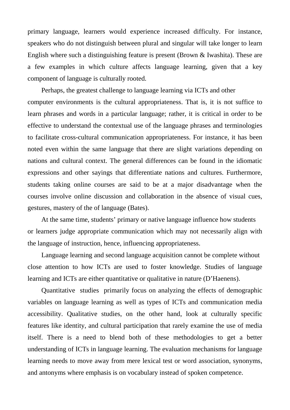primary language, learners would experience increased difficulty. For instance, speakers who do not distinguish between plural and singular will take longer to learn English where such a distinguishing feature is present (Brown & Iwashita). These are a few examples in which culture affects language learning, given that a key component of language is culturally rooted.

Perhaps, the greatest challenge to language learning via ICTs and other computer environments is the cultural appropriateness. That is, it is not suffice to learn phrases and words in a particular language; rather, it is critical in order to be effective to understand the contextual use of the language phrases and terminologies to facilitate cross-cultural communication appropriateness. For instance, it has been noted even within the same language that there are slight variations depending on nations and cultural context. The general differences can be found in the idiomatic expressions and other sayings that differentiate nations and cultures. Furthermore, students taking online courses are said to be at a major disadvantage when the courses involve online discussion and collaboration in the absence of visual cues, gestures, mastery of the of language (Bates).

At the same time, students' primary or native language influence how students or learners judge appropriate communication which may not necessarily align with the language of instruction, hence, influencing appropriateness.

Language learning and second language acquisition cannot be complete without close attention to how ICTs are used to foster knowledge. Studies of language learning and ICTs are either quantitative or qualitative in nature (D'Haenens).

Quantitative studies primarily focus on analyzing the effects of demographic variables on language learning as well as types of ICTs and communication media accessibility. Qualitative studies, on the other hand, look at culturally specific features like identity, and cultural participation that rarely examine the use of media itself. There is a need to blend both of these methodologies to get a better understanding of ICTs in language learning. The evaluation mechanisms for language learning needs to move away from mere lexical test or word association, synonyms, and antonyms where emphasis is on vocabulary instead of spoken competence.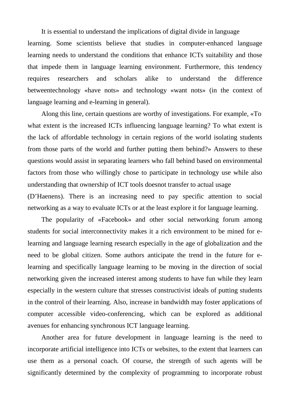It is essential to understand the implications of digital divide in language learning. Some scientists believe that studies in computer-enhanced language learning needs to understand the conditions that enhance ICTs suitability and those that impede them in language learning environment. Furthermore, this tendency requires researchers and scholars alike to understand the difference betweentechnology «have nots» and technology «want nots» (in the context of language learning and e-learning in general).

Along this line, certain questions are worthy of investigations. For example, «To what extent is the increased ICTs influencing language learning? To what extent is the lack of affordable technology in certain regions of the world isolating students from those parts of the world and further putting them behind?» Answers to these questions would assist in separating learners who fall behind based on environmental factors from those who willingly chose to participate in technology use while also understanding that ownership of ICT tools doesnot transfer to actual usage

(D'Haenens). There is an increasing need to pay specific attention to social networking as a way to evaluate ICTs or at the least explore it for language learning.

The popularity of «Facebook» and other social networking forum among students for social interconnectivity makes it a rich environment to be mined for elearning and language learning research especially in the age of globalization and the need to be global citizen. Some authors anticipate the trend in the future for elearning and specifically language learning to be moving in the direction of social networking given the increased interest among students to have fun while they learn especially in the western culture that stresses constructivist ideals of putting students in the control of their learning. Also, increase in bandwidth may foster applications of computer accessible video-conferencing, which can be explored as additional avenues for enhancing synchronous ICT language learning.

Another area for future development in language learning is the need to incorporate artificial intelligence into ICTs or websites, to the extent that learners can use them as a personal coach. Of course, the strength of such agents will be significantly determined by the complexity of programming to incorporate robust